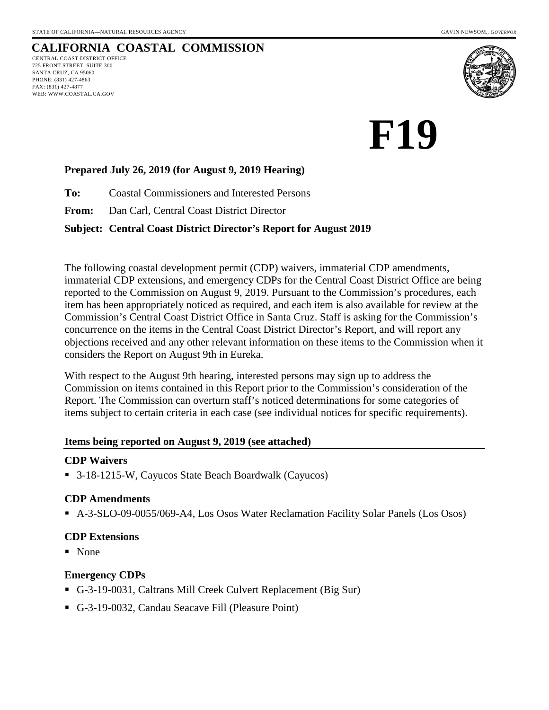#### **CALIFORNIA COASTAL COMMISSION** CENTRAL COAST DISTRICT OFFICE 725 FRONT STREET, SUITE 300 SANTA CRUZ, CA 95060 PHONE: (831) 427-4863 FAX: (831) 427-4877 WEB: WWW.COASTAL.CA.GOV



# **F19**

#### **Prepared July 26, 2019 (for August 9, 2019 Hearing)**

**To:** Coastal Commissioners and Interested Persons

**From:** Dan Carl, Central Coast District Director

#### **Subject: Central Coast District Director's Report for August 2019**

The following coastal development permit (CDP) waivers, immaterial CDP amendments, immaterial CDP extensions, and emergency CDPs for the Central Coast District Office are being reported to the Commission on August 9, 2019. Pursuant to the Commission's procedures, each item has been appropriately noticed as required, and each item is also available for review at the Commission's Central Coast District Office in Santa Cruz. Staff is asking for the Commission's concurrence on the items in the Central Coast District Director's Report, and will report any objections received and any other relevant information on these items to the Commission when it considers the Report on August 9th in Eureka.

With respect to the August 9th hearing, interested persons may sign up to address the Commission on items contained in this Report prior to the Commission's consideration of the Report. The Commission can overturn staff's noticed determinations for some categories of items subject to certain criteria in each case (see individual notices for specific requirements).

#### **Items being reported on August 9, 2019 (see attached)**

#### **CDP Waivers**

■ 3-18-1215-W, Cayucos State Beach Boardwalk (Cayucos)

#### **CDP Amendments**

A-3-SLO-09-0055/069-A4, Los Osos Water Reclamation Facility Solar Panels (Los Osos)

#### **CDP Extensions**

■ None

#### **Emergency CDPs**

- G-3-19-0031, Caltrans Mill Creek Culvert Replacement (Big Sur)
- G-3-19-0032, Candau Seacave Fill (Pleasure Point)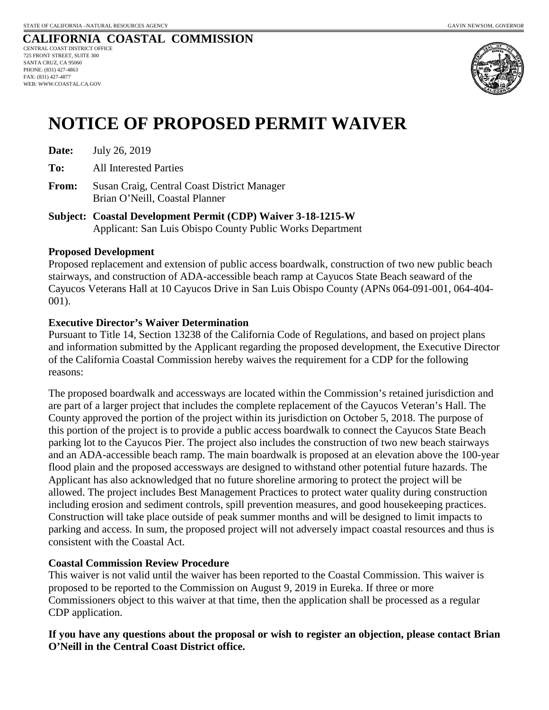#### **CALIFORNIA COASTAL COMMISSION** CENTRAL COAST DISTRICT OFFICE 725 FRONT STREET, SUITE 300 SANTA CRUZ, CA 95060 PHONE: (831) 427-4863 FAX: (831) 427-4877 WEB: WWW.COASTAL.CA.GOV



# **NOTICE OF PROPOSED PERMIT WAIVER**

| Date: | July 26, 2019 |
|-------|---------------|
|-------|---------------|

**To:** All Interested Parties

- **From:** Susan Craig, Central Coast District Manager Brian O'Neill, Coastal Planner
- **Subject: Coastal Development Permit (CDP) Waiver 3-18-1215-W** Applicant: San Luis Obispo County Public Works Department

#### **Proposed Development**

Proposed replacement and extension of public access boardwalk, construction of two new public beach stairways, and construction of ADA-accessible beach ramp at Cayucos State Beach seaward of the Cayucos Veterans Hall at 10 Cayucos Drive in San Luis Obispo County (APNs 064-091-001, 064-404- 001).

#### **Executive Director's Waiver Determination**

Pursuant to Title 14, Section 13238 of the California Code of Regulations, and based on project plans and information submitted by the Applicant regarding the proposed development, the Executive Director of the California Coastal Commission hereby waives the requirement for a CDP for the following reasons:

The proposed boardwalk and accessways are located within the Commission's retained jurisdiction and are part of a larger project that includes the complete replacement of the Cayucos Veteran's Hall. The County approved the portion of the project within its jurisdiction on October 5, 2018. The purpose of this portion of the project is to provide a public access boardwalk to connect the Cayucos State Beach parking lot to the Cayucos Pier. The project also includes the construction of two new beach stairways and an ADA-accessible beach ramp. The main boardwalk is proposed at an elevation above the 100-year flood plain and the proposed accessways are designed to withstand other potential future hazards. The Applicant has also acknowledged that no future shoreline armoring to protect the project will be allowed. The project includes Best Management Practices to protect water quality during construction including erosion and sediment controls, spill prevention measures, and good housekeeping practices. Construction will take place outside of peak summer months and will be designed to limit impacts to parking and access. In sum, the proposed project will not adversely impact coastal resources and thus is consistent with the Coastal Act.

#### **Coastal Commission Review Procedure**

This waiver is not valid until the waiver has been reported to the Coastal Commission. This waiver is proposed to be reported to the Commission on August 9, 2019 in Eureka. If three or more Commissioners object to this waiver at that time, then the application shall be processed as a regular CDP application.

#### **If you have any questions about the proposal or wish to register an objection, please contact Brian O'Neill in the Central Coast District office.**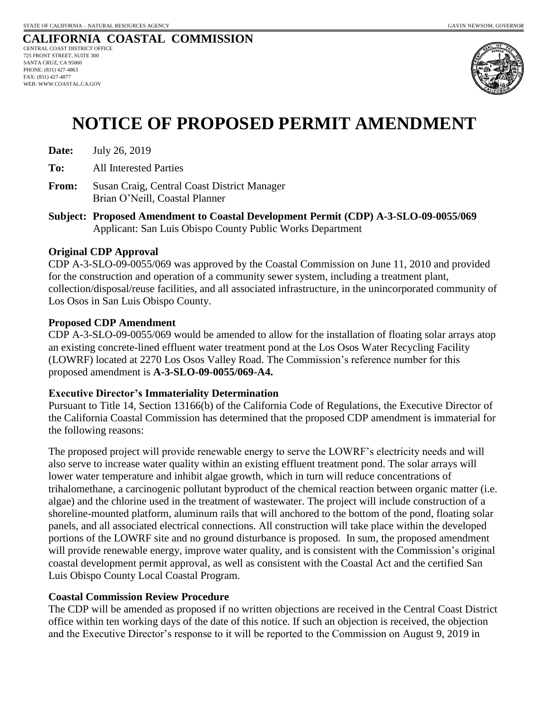#### **CALIFORNIA COASTAL COMMISSION** CENTRAL COAST DISTRICT OFFICE 725 FRONT STREET, SUITE 300 SANTA CRUZ, CA 95060 PHONE: (831) 427-4863 FAX: (831) 427-4877 WEB: WWW.COASTAL.CA.GOV



# **NOTICE OF PROPOSED PERMIT AMENDMENT**

| Date: | July 26, 2019 |
|-------|---------------|
|-------|---------------|

**To:** All Interested Parties

- **From:** Susan Craig, Central Coast District Manager Brian O'Neill, Coastal Planner
- **Subject: Proposed Amendment to Coastal Development Permit (CDP) A-3-SLO-09-0055/069** Applicant: San Luis Obispo County Public Works Department

#### **Original CDP Approval**

CDP A-3-SLO-09-0055/069 was approved by the Coastal Commission on June 11, 2010 and provided for the construction and operation of a community sewer system, including a treatment plant, collection/disposal/reuse facilities, and all associated infrastructure, in the unincorporated community of Los Osos in San Luis Obispo County.

#### **Proposed CDP Amendment**

CDP A-3-SLO-09-0055/069 would be amended to allow for the installation of floating solar arrays atop an existing concrete-lined effluent water treatment pond at the Los Osos Water Recycling Facility (LOWRF) located at 2270 Los Osos Valley Road. The Commission's reference number for this proposed amendment is **A-3-SLO-09-0055/069-A4.**

#### **Executive Director's Immateriality Determination**

Pursuant to Title 14, Section 13166(b) of the California Code of Regulations, the Executive Director of the California Coastal Commission has determined that the proposed CDP amendment is immaterial for the following reasons:

The proposed project will provide renewable energy to serve the LOWRF's electricity needs and will also serve to increase water quality within an existing effluent treatment pond. The solar arrays will lower water temperature and inhibit algae growth, which in turn will reduce concentrations of trihalomethane, a carcinogenic pollutant byproduct of the chemical reaction between organic matter (i.e. algae) and the chlorine used in the treatment of wastewater. The project will include construction of a shoreline-mounted platform, aluminum rails that will anchored to the bottom of the pond, floating solar panels, and all associated electrical connections. All construction will take place within the developed portions of the LOWRF site and no ground disturbance is proposed. In sum, the proposed amendment will provide renewable energy, improve water quality, and is consistent with the Commission's original coastal development permit approval, as well as consistent with the Coastal Act and the certified San Luis Obispo County Local Coastal Program.

#### **Coastal Commission Review Procedure**

The CDP will be amended as proposed if no written objections are received in the Central Coast District office within ten working days of the date of this notice. If such an objection is received, the objection and the Executive Director's response to it will be reported to the Commission on August 9, 2019 in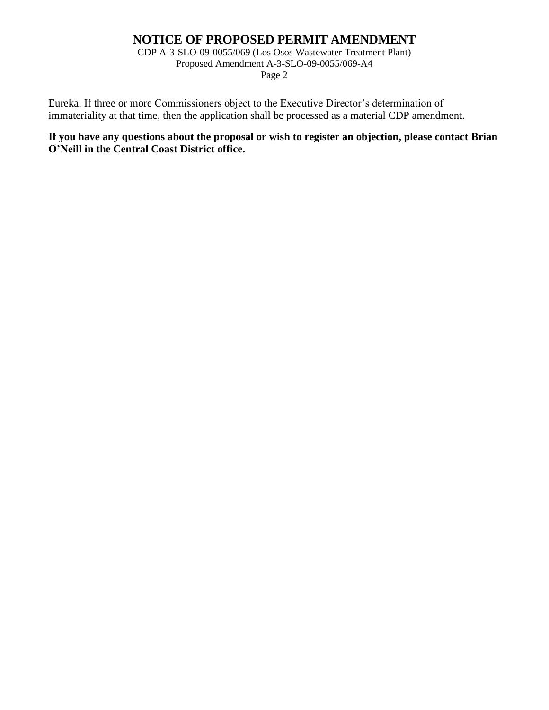## **NOTICE OF PROPOSED PERMIT AMENDMENT**

CDP A-3-SLO-09-0055/069 (Los Osos Wastewater Treatment Plant) Proposed Amendment A-3-SLO-09-0055/069-A4 Page 2

Eureka. If three or more Commissioners object to the Executive Director's determination of immateriality at that time, then the application shall be processed as a material CDP amendment.

**If you have any questions about the proposal or wish to register an objection, please contact Brian O'Neill in the Central Coast District office.**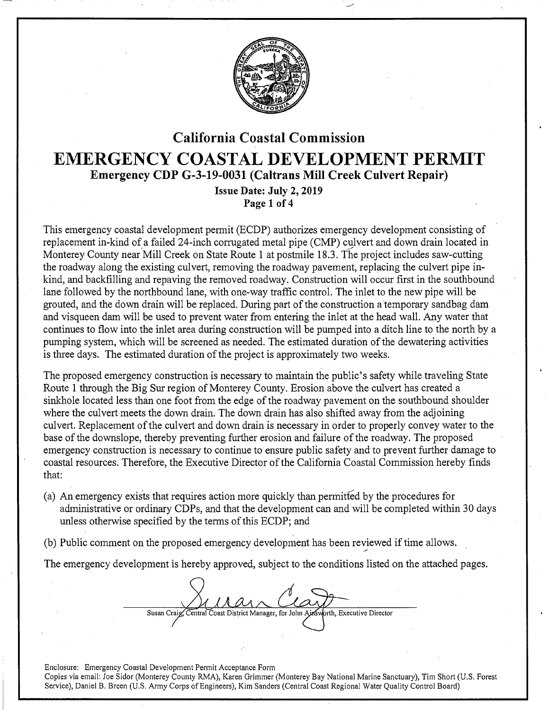

## California Coastal Commission EMERGENCY COASTAL DEVELOPMENT PERMIT Emergency CDP G-3-19-0031 (Caltrans Mill Creek Culvert Repair) Issue Date: July 2, 2019

Page 1 of 4

This emergency coastal development permit (ECDP) authorizes emergency development consisting of replacement in-kind of a failed 24-inch corrugated metal pipe (CMP) culvert and down drain located in Monterey County near Mill Creek on State Route 1 at postmile 18.3. The project includes saw-cutting the roadway along the existing culvert, removing the roadway pavement, replacing the culvert pipe inkind, and backfilling and repaving the removed roadway. Construction will occur first in the southbound lane followed by the northbound lane, with one-way traffic control. The inlet to the new pipe will be grouted, and the down drain will be replaced. During part of the construction a temporary sandbag dam and visqueen dam will be used to prevent water from entering the inlet at the head wall. Any water that continues to flow into the inlet area during construction will be pumped into a ditch line to the north by a pumping system, which will be screened as needed. The estimated duration of the dewatering activities is three days. The estimated duration of the project is approximately two weeks.

The proposed emergency construction is necessary to maintain the public's safety while traveling State Route 1 through the Big Sur region of Monterey County. Erosion above the culvert has created a sinkhole located less than one foot from the edge of the roadway pavement on the southbound shoulder where the culvert meets the down drain. The down drain has also shifted away from the adjoining culvert. Replacement of the culvert and down drain is necessary in order to properly convey water to the base of the downslope, thereby preventing further erosion and failure of the roadway. The proposed emergency construction is necessary to continue to ensure public safety and to prevent further damage to coastal resources. Therefore, the Executive Director of the California Coastal Commission hereby finds that:

- (a) An emergency exists that requires action more quickly than permitted by the procedures for administrative or ordinary CDPs, and that the development can and will be completed within 30 days unless otherwise specified by the terms of this ECDP; and
- (b) Public comment on the proposed emergency development has been reviewed if time allows.<br>The emergency development is hereby approved, subject to the conditions listed on the attached pages.

Susan Craig, Central Coast District Manager, for John Ains worth, Executive Director

Enclosure: Emergency Coastal Development Permit Acceptance Form Copies via email: Joe Sidor (Monterey County RMA), Karen Grimmer (Monterey Bay National Marine Sanctuary), Tim Short (U.S. Forest Service), Daniel B. Breen (U.S. Army Corps of Engineers), Kim Sanders (Central Coast Regional Water Quality Control Board)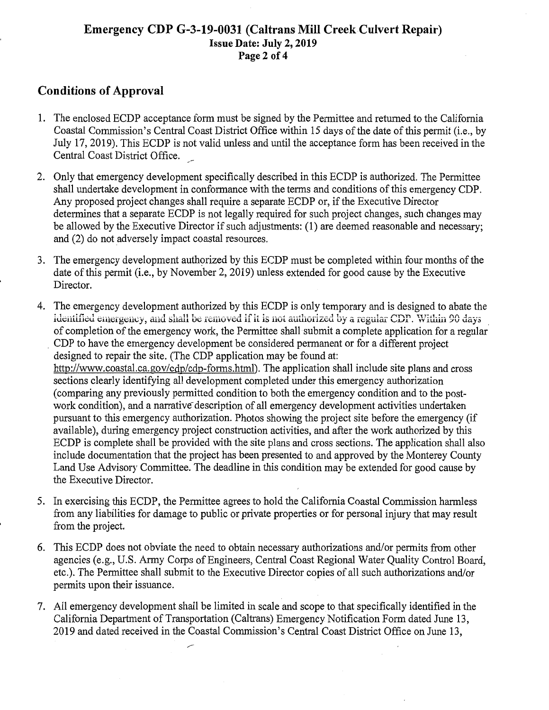#### **Emergency CDP G-3-19-0031 (Caltrans Mill Creek Culvert Repair) Issue Date: July 2, 2019 Page 2 of4**

## **Conditions of Approval**

- 1. The enclosed ECDP acceptance form must be signed by the Permittee and returned to the California Coastal Commission's Central Coast District Office within 15 days of the date of this permit (i.e., by July 17, 2019). This ECDP is not valid unless and until the acceptance form has been received in the Central Coast District Office.
- 2. Only that emergency development specifically described in this ECDP is authorized. The Permittee shall undertake development in conformance with the terms and conditions of this emergency CDP. Any proposed project changes shall require a separate ECDP or, if the Executive Director determines that a separate ECDP is not legally required for such project changes, such changes may be allowed by the Executive Director if such adjustments: (1) are deemed reasonable and necessary; and (2) do not adversely impact coastal resources.
- 3. The emergency development authorized by this ECDP must be completed within four months of the date of this permit (i.e., by November 2, 2019) unless extended for good cause by the Executive Director.
- 4. The emergency development authorized by this ECDP is only temporary and is designed to abate the identified emergency, and shall be removed if it is not authorized by a regular CDP. Within 90 days of completion of the emergency work, the Permittee shall submit a complete application for a regular· . CDP to have the emergency development be considered permanent or for a different project designed to repair the site. (The CDP application may be found at: http://www.coastal.ca.gov/cdp/cdp-fonns.html). The application shall include site plans and cross sections clearly identifying all development completed under this emergency authorization (comparing any previously permitted condition to both the emergency condition and to the postwork condition), and a narrative description of all emergency development activities undertaken pursuant to this emergency authorization. Photos showing the project site before the emergency (if available), during emergency project construction activities, and after the work authorized by this ECDP is complete shall be provided with the site plans and cross sections. The application shall also include documentation that the project has been presented to and approved by the Monterey County Land Use Advisory Committee. The deadline in this condition may be extended for good cause by the Executive Director.
- 5. In exercising this ECDP, the Permittee agrees to hold the California Coastal Commission harmless from any liabilities for damage to public or private properties or for personal injury that may result from the project.
- 6. This ECDP does not obviate the need to obtain necessary authorizations and/or permits from other agencies (e.g., U.S. Army Corps of Engineers, Central Coast Regional Water Quality Control Board, etc.). The Permittee shall submit to the Executive Director copies of all such authorizations and/or permits upon their issuance.
- 7. All emergency development shall be limited in scale and scope to that specifically identified in the California Department of Transportation (Caltrans) Emergency Notification Form dated June 13, 2019 and dated received in the Coastal Commission's Central Coast District Office on June 13,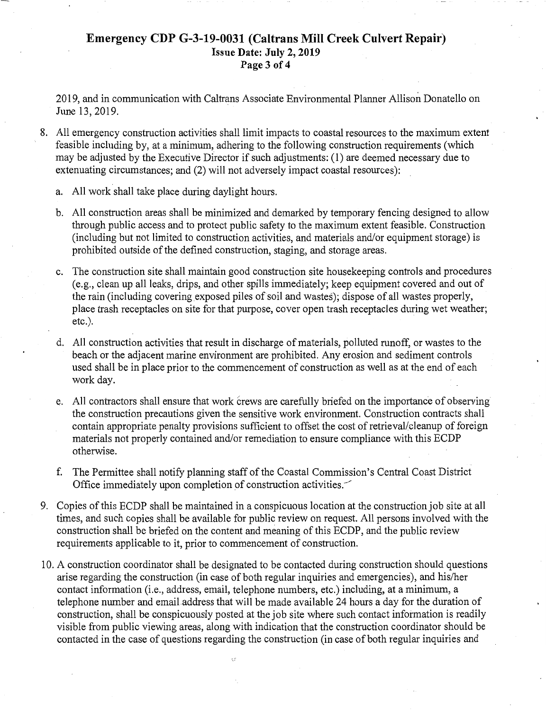#### **Emergency CDP G-3-19-0031 (Caltrans Mill Creek Culvert Repair) Issue Date: July 2, 2019 Page 3 of 4**

2019, and in communication with Caltrans Associate Environmental Planner Allison Donatello on June 13,2019.

8. All emergency construction activities shall limit impacts to coastal resources to the maximum extent feasible including by, at a minimum, adhering to the following construction requirements (which may be adjusted by the Executive Director if such adjustments: (1) are deemed necessary due to extenuating circumstances; and (2) will not adversely impact coastal resources):

- a. All work shall take place during daylight hours.
- b. All construction areas shall be minimized and demarked by temporary fencing designed to allow through public access and to protect public safety to the maximum extent feasible. Construction (including but not limited to construction activities, and materials and/or equipment storage) is prohibited outside of the defined construction, staging, and storage areas.
- c. The construction site shall maintain good construction site housekeeping controls and procedures (e.g., clean up all leaks, drips, and other spills immediately; keep equipment covered and out of the rain (including covering exposed piles of soil and wastes); dispose of all wastes properly, place trash receptacles on site for that purpose, cover open trash receptacles during wet weather; etc.).
- d. All construction activities that result in discharge of materials, polluted runoff, or wastes to the beach or the adjacent marine environment are prohibited. Any erosion and sediment controls used shall be in place prior to the commencement of construction as well as at the end of each work day.
- e. All contractors shall ensure that work crews are carefully briefed on the importance of observing the construction precautions given the sensitive work environment. Construction contracts shall contain appropriate penalty provisions sufficient to offset the cost of retrieval/cleanup of foreign materials not properly contained and/or remediation to ensure compliance with this ECDP otherwise.
- f. The Permittee shall notify planning staff of the Coastal Commission's Central Coast District Office immediately upon completion of construction activities.
- 9. Copies of this ECDP shall be maintained in a conspicuous location at the construction job site at all times, and such copies shall be available for public review on request. All persons involved with the construction shall be briefed on the content and meaning of this ECDP, and the public review requirements applicable to it, prior to commencement of construction.
- 10. A construction coordinator shall be designated to be contacted during construction should questions arise regarding the construction (in case of both regular inquiries and emergencies), and his/her contact information (i.e., address, email, telephone numbers, etc.) including, at a minimum, a telephone number and emailaddress that will be made available 24 hours a day for the duration of construction, shall be conspicuously posted at the job site where such contact information is readily visible from public viewing areas, along with indication that the construction coordinator should be contacted in the case of questions regarding the construction (in case of both regular inquiries and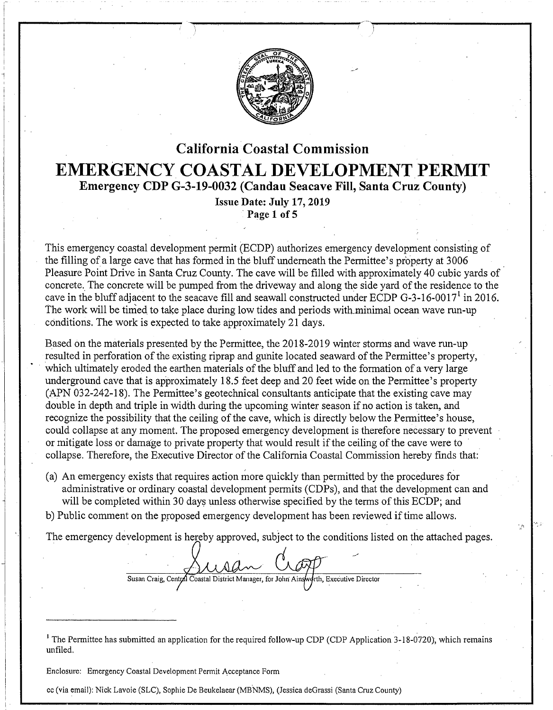

## California Coastal Commission **EMERGENCY COASTAL DEVELOPMENT PERMIT**  Emergency CDP G-3-19-0032 (Candau Seacave Fill, Santa Cruz County)

Issue Date: July 17, 2019 Page 1 of 5

This emergency coastal development permit (ECDP) authorizes emergency development consisting of the filling of a large cave that has formed in the bluff underneath the Permittee's property at 3006 Pleasure Point Drive in Santa Cruz County. The cave will be filled with approximately 40 cubic yards of concrete. The concrete will be pumped from the driveway and along the side yard of the residence to the cave in the bluff adjacent to the seacave fill and seawall constructed under ECDP G-3-16-0017<sup>1</sup> in 2016. The work will be timed to take place during low tides and periods with minimal ocean wave run-up conditions. The work is expected to take approximately 21 days.

Based on the materials presented by the Permittee, the 2018-2019 winter storms and wave run-up resulted in perforation of the existing riprap and guhite located seaward of the Permittee's property, which ultimately eroded the earthen materials of the bluff and led to the formation of a very large underground cave that is approximately 18.5 feet deep and 20 feet wide on the Permittee's property (APN 032-242-18). The Permittee's geotechnical consultants anticipate that the existing cave may double in depth and triple in width during the upcoming winter season if no action is taken, and recognize the possibility that the ceiling of the cave, which is directly below the Permittee's house, could collapse at any moment. The proposed emergency development is therefore necessary to prevent or mitigate loss or damage to private property that would result if the ceiling of the cave were to collapse. Therefore, the Executive Director of the California Coastal Commission hereby finds that:

(a) An emergency exists that requires action more quickly than permitted by the procedures for administrative or ordinary coastal development permits (CDPs), and that the development can and will be completed within 30 days unless otherwise specified by the terms of this ECDP; and

b) Public comment on the proposed emergency development has been reviewed if time allows.

The emergency development is hereby approved, subject to the conditions listed on the attached pages.

18

Susan Craig, Central Coastal District Manager, for John Ainsworth, Executive Director

<sup>1</sup> The Permittee has submitted an application for the required follow-up CDP (CDP Application 3-18-0720), which remains unfiled.

Enclosure: Emergency Coastal Development Permit Acceptance Form

cc (via email): Nick Lavoie (SLC), Sophie De Beukelaear (MBNMS), (Jessica deGrassi (Santa Cruz County)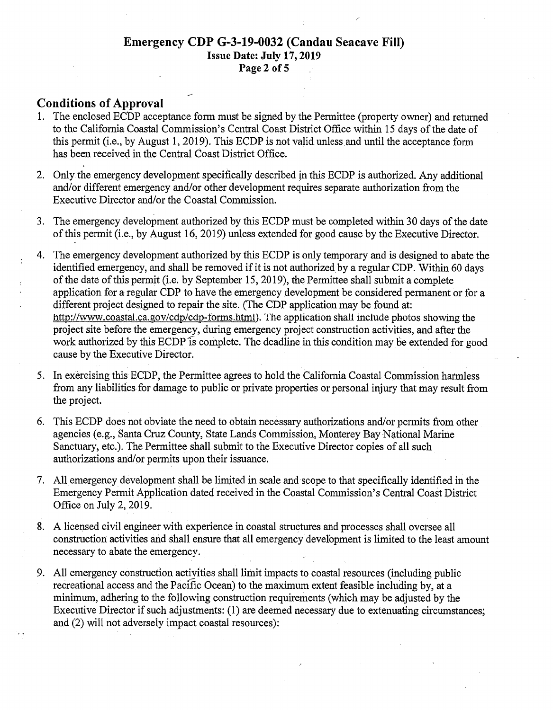### Emergency CDP G-3-19-0032 (Candau Seacave Fill) Issue Date: July 17,2019 Page 2 of 5

#### Conditions of Approval

- 1. The enclosed ECbP acceptance form must be signed by the Permittee (property owner) and returned to the California Coastal Commission's Central Coast District Office within 15 days of the date of this permit (i.e., by August 1, 2019). This ECDP is not valid unless and until the acceptance form has been received in the Central Coast District Office.
- 2. Only the emergency development specifically described jn this ECDP is authorized. Any additional and/or different emergency and/or other development requires separate authorization from the Executive Director and/or the Coastal Commission.
- 3. The emergency development authorized by this ECDP must be completed within 30 days of the date of this permit (i.e., by August 16, 2019) unless extended for good cause by the Executive Director.
- 4. The emergency development authorized by this ECDP is only temporary and is designed to abate the identified emergency, and shall be removed if it is not authorized by a regular CDP. Within 60 days of the date of this permit (i.e. by September 15, 2019), the Permittee shall submit a complete application for a regular CDP to have the emergency development be considered permanent or for a different project designed to repair the site. (The CDP application may be found at: http://www.coastal.ca.gov/cdp/cdp-torms.htmi). The application shall include photos showing the project site before the emergency, during emergency project construction activities, and after the work authorized by this ECDP is complete. The deadline in this condition may be extended for good cause by the Executive Director.
- 5. In exercising this ECDP, the Permittee agrees to hold the California Coastal Commission harmless from any liabilities for damage to public or private properties or personal injury that may result from the project.
- 6. This ECDP does not obviate the need to obtain necessary authorizations and/or permits from other agencies (e.g., Santa Cruz County, State Lands Commission, Monterey Bay National Marine Sanctuary, etc.). The Permittee shall submit to the Executive Director copies of all such authorizations and/or permits upon their issuance.
- 7. All emergency development shall be limited in scale and scope to that specifically identified in the Emergency Permit Application dated received in the Coastal Commission's Central Coast District Office on July 2, 2019.
- 8. A licensed civil engineer with experience in coastal structures and processes shall oversee all construction activities arid shall ensure that all emergency development is limited to the least amount necessary to abate the emergency.
- 9. All emergency construction activities shall limit impacts to coastal resources (including public recreational access and the Pacific Ocean) to the maximum extent feasible including by, at a minimum, adhering to the following construction requirements (which may be adjusted by the Executive Director if such adjustments: (1) are deemed necessary due to extenuating circumstances; and (2) wiil not adversely impact coastal resources):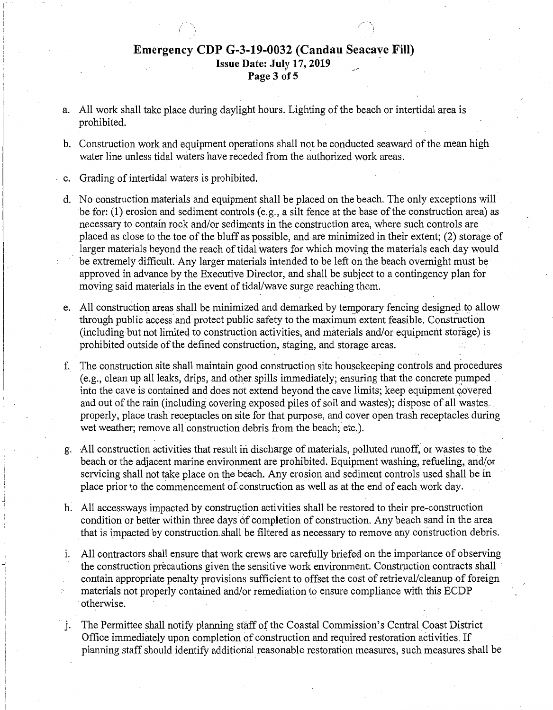#### Emergency CDP G-3-19-0032 (Candau Seacave Fill) Issue Date: July 17, 2019 Page 3 of 5

- a. All work shall take place during daylight hours. Lighting of the beach or intertidal area is prohibited.
- b. Construction work and equipment operations shall not be conducted seaward of the mean high water line unless tidal waters have receded from the authorized work areas.
- c. Grading of intertidal waters is prohibited.

i

- d. No construction materials and equipment shall be placed on the beach. The only exceptions will be for:  $(1)$  erosion and sediment controls  $(e.g., a$  silt fence at the base of the construction area) as necessary to contain rock and/or sediments in the construction area, where such controls are placed as close to the toe of the bluff as possible, and are minimized in their extent; (2) storage of larger materials beyond the reach of tidal waters for which moving the materials each day would be extremely difficult. Any larger materials intended to be left on the beach overnight must be approved in advance by the Executive Director, and shall be subject to a contingency plan for moving said materials in the event of tidal/wave surge reaching them.
- e. All construction areas shall be minimized and demarked by temporary fencing designed to allow through public access and protect public safety to the maximum extent feasible. Construction (including but not limited to construction activities, and materials and/or equipment storage) is prohibited outside of the defined construction, staging, and storage areas.
- f. The construction site shall maintain good construction site housekeeping controls and procedures  $(e.g., clean up all leaks, drives, and other skills immediately; ensuring that the concrete pumped$ into the cave is contained and does not extend beyond the cave limits; keep equipment covered and out of the rain (including covering exposed piles of soil and wastes); dispose of all wastes. properly, place trash receptacles on site for that purpose, and cover open trash receptacles during wet weather; remove all construction debris from the beach; etc.).
- g. All construction activities that result in discharge of materials, polluted runoff, or wastes to the beach or the adjacent marine environment are prohibited. Equipment washing, refueling, and/or servicing shall not take place on the beach. Any erosion and sediment controls used shall be in place prior to the commencement of construction as well as at the end of eachwork day.
- h. All accessways impacted by construction activities shall be restored to their pre-construction condition or better within three days of completion of construction. Any beach sand in the area that is impacted by construction shall be filtered as necessary to remove any construction debris.
- 1. All contractors shall ensure that work crews are carefully briefed on the importance of observing the construction precautions given the sensitive work environment. Construction contracts shall · contain appropriate penalty provisions sufficient to offset the cost of retrieval/cleanup of foreign materials not properly contained and/or remediation to ensure compliance with this ECDP otherwise.
- j. The Permittee shall notify planning staff of the Coastal Commission's Central Coast District Office immediately upon completion of construction and required restoration activities. If planning staff should identify additional reasonable restoration measures, such measures shall be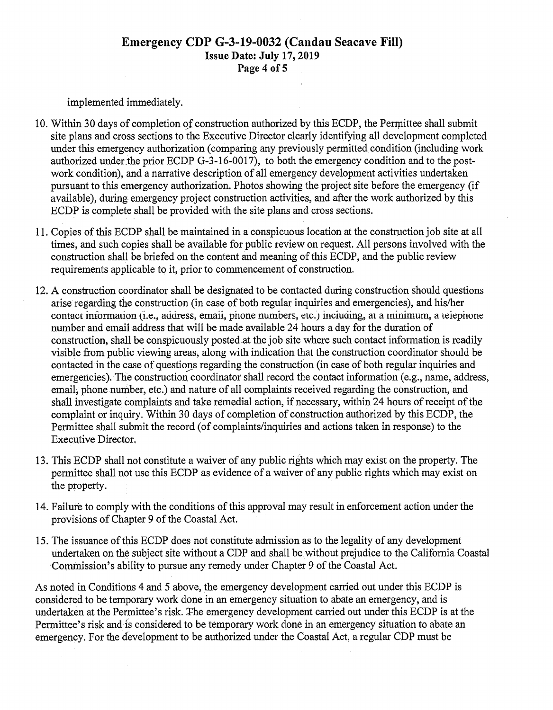#### Emergency CDP G-3-19-0032 (Candau Seacave Fill) Issue Date: July 17,2019 Page 4 of 5

implemented immediately.

- 10. Within 30 days of completion of construction authorized by this ECDP, the Permittee shall submit site plans and cross sections to the Executive Director clearly identifying all development completed under this emergency authorization (comparing any previously permitted condition (including work authorized under the prior ECDP G-3-16-0017), to both the emergency condition and to the postwork condition), and a narrative description of all emergency development activities undertaken pursuant to this emergency authorization. Photos showing the project site before the emergency (if available), during emergency project construction activities, and after the work authorized by this ECDP is complete shall be provided with the site plans and cross sections.
- 11. Copies of this ECDP shall be maintained in a conspicuous location at the construction job site at all times, and such copies shall be available for public review on request. All persons involved with the construction shall be briefed on the content and meaning of this ECDP, and the public review requirements applicable to it, prior to commencement of construction.
- 12. A construction coordinator shall be designated to be contacted during construction should questions arise regarding the construction (in case of both regular inquiries and emergencies), and his/her contact information (i.e., address, email, phone numbers, etc.) including, at a minimum, a telephone number and email address that will be made available 24 hours a day for the duration of construction, shall be conspicuously posted at the job site where such contact information is readily visible from public viewing areas, along with indication that the construction coordinator should be contacted in the case of questions regarding the construction (in case of both regular inquiries and emergencies). The construction coordinator shall record the contact information (e.g., name, address, email; phone number, etc.) and nature of all complaints received regarding the construction, and shall investigate complaints and take remedial action, if necessary, within 24 hours of receipt of the complaint or inquiry. Within 30 days of completion of construction authorized by this ECDP, the Permittee shall submit the record (of complaints/inquiries and actions taken in response) to the Executive Director.
- 13. This ECDP shall not constitute a waiver of any public rights which may exist on the property. The permittee shall not use this ECDP as evidence of a waiver of any public rights which may exist on the property.
- 14. Failure to comply with the conditions of this approval may result in enforcement action under the provisions of Chapter 9 of the Coastal Act.
- 15. The issuance of this ECDP does not constitute admission as to the legality of any development undertaken on the subject site without a CDP and shall be without prejudice to the California Coastal Commission's ability to pursue any remedy under Chapter 9 of the Coastal Act.

As noted in Conditions 4 and 5 above, the emergency development carried out under this ECDP is considered to be temporary work done in an emergency situation to abate an emergency, and is undertaken at the Permittee's risk. The emergency development carried out under this ECDP is at the Permittee's risk and is considered to be temporary work done in an emergency situation to abate an emergency. For the development to be authorized under the Coastal Act, a regular CDP must be